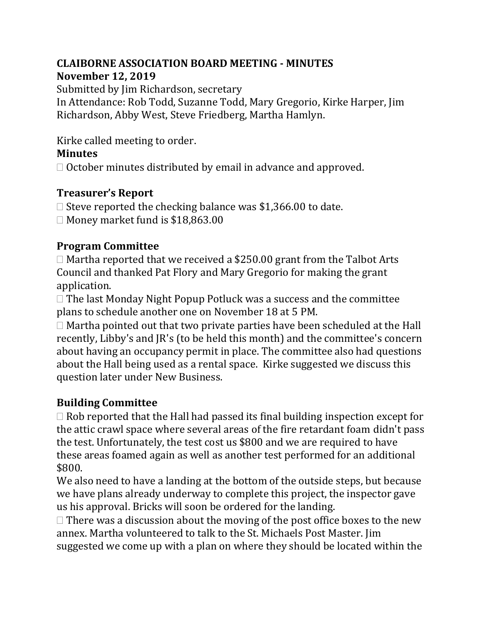## **CLAIBORNE ASSOCIATION BOARD MEETING - MINUTES November 12, 2019**

Submitted by Jim Richardson, secretary

In Attendance: Rob Todd, Suzanne Todd, Mary Gregorio, Kirke Harper, Jim Richardson, Abby West, Steve Friedberg, Martha Hamlyn.

Kirke called meeting to order.

# **Minutes**

 $\Box$  October minutes distributed by email in advance and approved.

### **Treasurer's Report**

 $\Box$  Steve reported the checking balance was \$1,366.00 to date.  $\Box$  Money market fund is \$18,863.00

# **Program Committee**

 $\Box$  Martha reported that we received a \$250.00 grant from the Talbot Arts Council and thanked Pat Flory and Mary Gregorio for making the grant application.

 $\Box$  The last Monday Night Popup Potluck was a success and the committee plans to schedule another one on November 18 at 5 PM.

 $\Box$  Martha pointed out that two private parties have been scheduled at the Hall recently, Libby's and JR's (to be held this month) and the committee's concern about having an occupancy permit in place. The committee also had questions about the Hall being used as a rental space. Kirke suggested we discuss this question later under New Business.

# **Building Committee**

 $\Box$  Rob reported that the Hall had passed its final building inspection except for the attic crawl space where several areas of the fire retardant foam didn't pass the test. Unfortunately, the test cost us \$800 and we are required to have these areas foamed again as well as another test performed for an additional \$800.

We also need to have a landing at the bottom of the outside steps, but because we have plans already underway to complete this project, the inspector gave us his approval. Bricks will soon be ordered for the landing.

 $\Box$  There was a discussion about the moving of the post office boxes to the new annex. Martha volunteered to talk to the St. Michaels Post Master. Jim suggested we come up with a plan on where they should be located within the